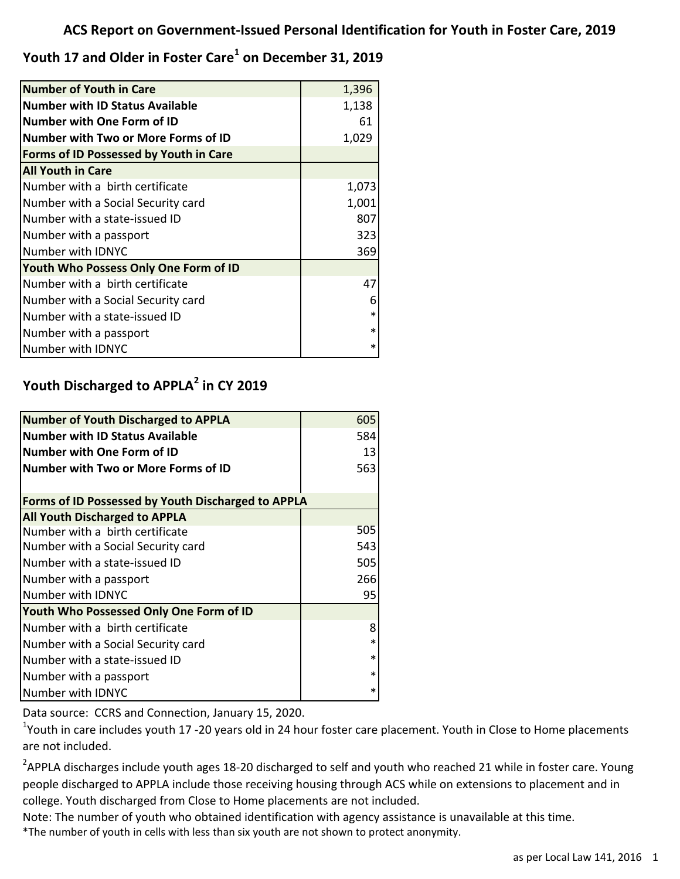**Youth 17 and Older in Foster Care<sup>1</sup> on December 31, 2019**

| <b>Number of Youth in Care</b>             | 1,396  |
|--------------------------------------------|--------|
| <b>Number with ID Status Available</b>     | 1,138  |
| <b>Number with One Form of ID</b>          | 61     |
| <b>Number with Two or More Forms of ID</b> | 1,029  |
| Forms of ID Possessed by Youth in Care     |        |
| <b>All Youth in Care</b>                   |        |
| Number with a birth certificate            | 1,073  |
| Number with a Social Security card         | 1,001  |
| Number with a state-issued ID              | 807    |
| Number with a passport                     | 323    |
| Number with IDNYC                          | 369    |
| Youth Who Possess Only One Form of ID      |        |
| Number with a birth certificate            | 47     |
| Number with a Social Security card         | 6      |
| Number with a state-issued ID              | $\ast$ |
| Number with a passport                     | $\ast$ |
| Number with IDNYC                          | ∗      |

## **Youth Discharged to APPLA<sup>2</sup> in CY 2019**

| <b>Number of Youth Discharged to APPLA</b>                | 605    |  |
|-----------------------------------------------------------|--------|--|
| Number with ID Status Available                           | 584    |  |
| lNumber with One Form of ID                               | 13     |  |
| Number with Two or More Forms of ID                       | 563    |  |
|                                                           |        |  |
| <b>Forms of ID Possessed by Youth Discharged to APPLA</b> |        |  |
| <b>All Youth Discharged to APPLA</b>                      |        |  |
| Number with a birth certificate                           | 505    |  |
| Number with a Social Security card                        | 543    |  |
| Number with a state-issued ID                             | 505    |  |
| Number with a passport                                    | 266    |  |
| Number with IDNYC                                         | 95     |  |
| Youth Who Possessed Only One Form of ID                   |        |  |
| Number with a birth certificate                           | 8      |  |
| Number with a Social Security card                        | $\ast$ |  |
| Number with a state-issued ID                             | $\ast$ |  |
| Number with a passport                                    | $\ast$ |  |
| Number with IDNYC                                         | *      |  |

Data source: CCRS and Connection, January 15, 2020.

<sup>1</sup>Youth in care includes youth 17 -20 years old in 24 hour foster care placement. Youth in Close to Home placements are not included.

 $^2$ APPLA discharges include youth ages 18-20 discharged to self and youth who reached 21 while in foster care. Young people discharged to APPLA include those receiving housing through ACS while on extensions to placement and in college. Youth discharged from Close to Home placements are not included.

Note: The number of youth who obtained identification with agency assistance is unavailable at this time.

\*The number of youth in cells with less than six youth are not shown to protect anonymity.